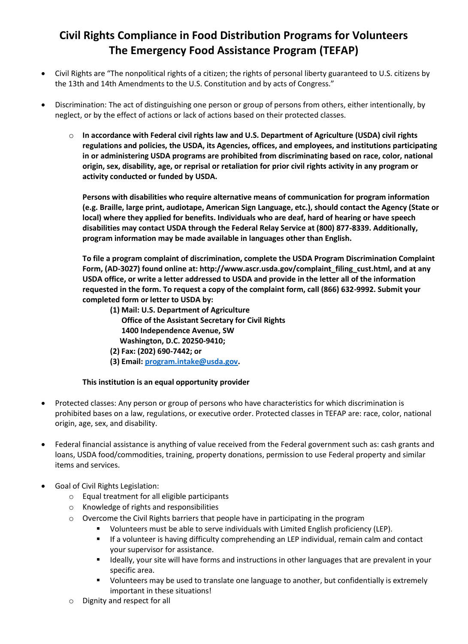## **Civil Rights Compliance in Food Distribution Programs for Volunteers The Emergency Food Assistance Program (TEFAP)**

- Civil Rights are "The nonpolitical rights of a citizen; the rights of personal liberty guaranteed to U.S. citizens by the 13th and 14th Amendments to the U.S. Constitution and by acts of Congress."
- Discrimination: The act of distinguishing one person or group of persons from others, either intentionally, by neglect, or by the effect of actions or lack of actions based on their protected classes.
	- o **In accordance with Federal civil rights law and U.S. Department of Agriculture (USDA) civil rights regulations and policies, the USDA, its Agencies, offices, and employees, and institutions participating in or administering USDA programs are prohibited from discriminating based on race, color, national origin, sex, disability, age, or reprisal or retaliation for prior civil rights activity in any program or activity conducted or funded by USDA.**

**Persons with disabilities who require alternative means of communication for program information (e.g. Braille, large print, audiotape, American Sign Language, etc.), should contact the Agency (State or local) where they applied for benefits. Individuals who are deaf, hard of hearing or have speech disabilities may contact USDA through the Federal Relay Service at (800) 877-8339. Additionally, program information may be made available in languages other than English.** 

**To file a program complaint of discrimination, complete the USDA Program Discrimination Complaint Form, (AD-3027) found online at: http://www.ascr.usda.gov/complaint\_filing\_cust.html, and at any USDA office, or write a letter addressed to USDA and provide in the letter all of the information requested in the form. To request a copy of the complaint form, call (866) 632-9992. Submit your completed form or letter to USDA by:** 

- **(1) Mail: U.S. Department of Agriculture Office of the Assistant Secretary for Civil Rights 1400 Independence Avenue, SW Washington, D.C. 20250-9410;**
- **(2) Fax: (202) 690-7442; or**
- **(3) Email[: program.intake@usda.gov.](mailto:program.intake@usda.gov)**

## **This institution is an equal opportunity provider**

- Protected classes: Any person or group of persons who have characteristics for which discrimination is prohibited bases on a law, regulations, or executive order. Protected classes in TEFAP are: race, color, national origin, age, sex, and disability.
- Federal financial assistance is anything of value received from the Federal government such as: cash grants and loans, USDA food/commodities, training, property donations, permission to use Federal property and similar items and services.
- Goal of Civil Rights Legislation:
	- o Equal treatment for all eligible participants
	- o Knowledge of rights and responsibilities
	- $\circ$  Overcome the Civil Rights barriers that people have in participating in the program
		- Volunteers must be able to serve individuals with Limited English proficiency (LEP).
		- If a volunteer is having difficulty comprehending an LEP individual, remain calm and contact your supervisor for assistance.
		- **■** Ideally, your site will have forms and instructions in other languages that are prevalent in your specific area.
		- Volunteers may be used to translate one language to another, but confidentially is extremely important in these situations!
	- o Dignity and respect for all